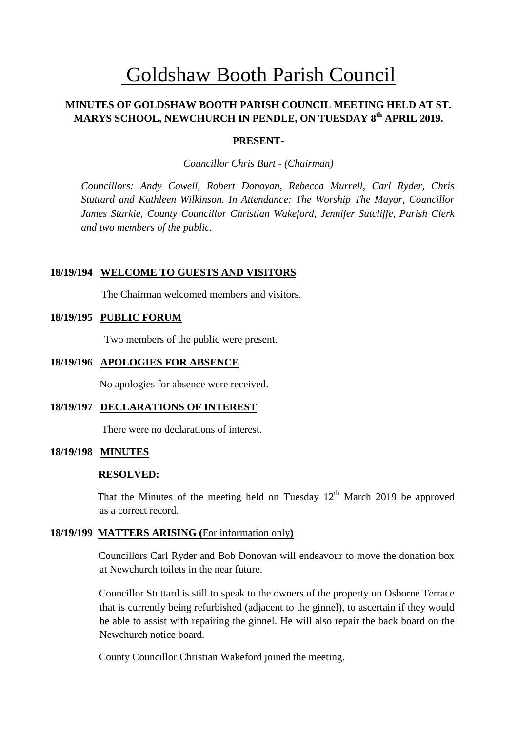# Goldshaw Booth Parish Council

# **MINUTES OF GOLDSHAW BOOTH PARISH COUNCIL MEETING HELD AT ST. MARYS SCHOOL, NEWCHURCH IN PENDLE, ON TUESDAY 8 th APRIL 2019.**

## **PRESENT-**

*Councillor Chris Burt - (Chairman)*

*Councillors: Andy Cowell, Robert Donovan, Rebecca Murrell, Carl Ryder, Chris Stuttard and Kathleen Wilkinson. In Attendance: The Worship The Mayor, Councillor James Starkie, County Councillor Christian Wakeford, Jennifer Sutcliffe, Parish Clerk and two members of the public.*

#### **18/19/194 WELCOME TO GUESTS AND VISITORS**

The Chairman welcomed members and visitors.

#### **18/19/195 PUBLIC FORUM**

Two members of the public were present.

#### **18/19/196 APOLOGIES FOR ABSENCE**

No apologies for absence were received.

#### **18/19/197 DECLARATIONS OF INTEREST**

There were no declarations of interest.

# **18/19/198 MINUTES**

# **RESOLVED:**

That the Minutes of the meeting held on Tuesday  $12<sup>th</sup>$  March 2019 be approved as a correct record.

# **18/19/199 MATTERS ARISING (**For information only**)**

Councillors Carl Ryder and Bob Donovan will endeavour to move the donation box at Newchurch toilets in the near future.

Councillor Stuttard is still to speak to the owners of the property on Osborne Terrace that is currently being refurbished (adjacent to the ginnel), to ascertain if they would be able to assist with repairing the ginnel. He will also repair the back board on the Newchurch notice board.

County Councillor Christian Wakeford joined the meeting.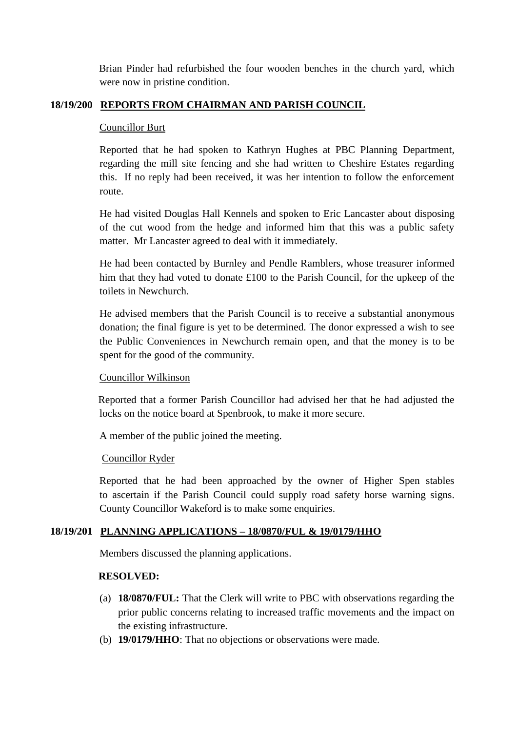Brian Pinder had refurbished the four wooden benches in the church yard, which were now in pristine condition.

# **18/19/200 REPORTS FROM CHAIRMAN AND PARISH COUNCIL**

# Councillor Burt

Reported that he had spoken to Kathryn Hughes at PBC Planning Department, regarding the mill site fencing and she had written to Cheshire Estates regarding this. If no reply had been received, it was her intention to follow the enforcement route.

He had visited Douglas Hall Kennels and spoken to Eric Lancaster about disposing of the cut wood from the hedge and informed him that this was a public safety matter. Mr Lancaster agreed to deal with it immediately.

He had been contacted by Burnley and Pendle Ramblers, whose treasurer informed him that they had voted to donate £100 to the Parish Council, for the upkeep of the toilets in Newchurch.

He advised members that the Parish Council is to receive a substantial anonymous donation; the final figure is yet to be determined. The donor expressed a wish to see the Public Conveniences in Newchurch remain open, and that the money is to be spent for the good of the community.

# Councillor Wilkinson

 Reported that a former Parish Councillor had advised her that he had adjusted the locks on the notice board at Spenbrook, to make it more secure.

A member of the public joined the meeting.

# Councillor Ryder

Reported that he had been approached by the owner of Higher Spen stables to ascertain if the Parish Council could supply road safety horse warning signs. County Councillor Wakeford is to make some enquiries.

# **18/19/201 PLANNING APPLICATIONS – 18/0870/FUL & 19/0179/HHO**

Members discussed the planning applications.

# **RESOLVED:**

- (a) **18/0870/FUL:** That the Clerk will write to PBC with observations regarding the prior public concerns relating to increased traffic movements and the impact on the existing infrastructure.
- (b) **19/0179/HHO**: That no objections or observations were made.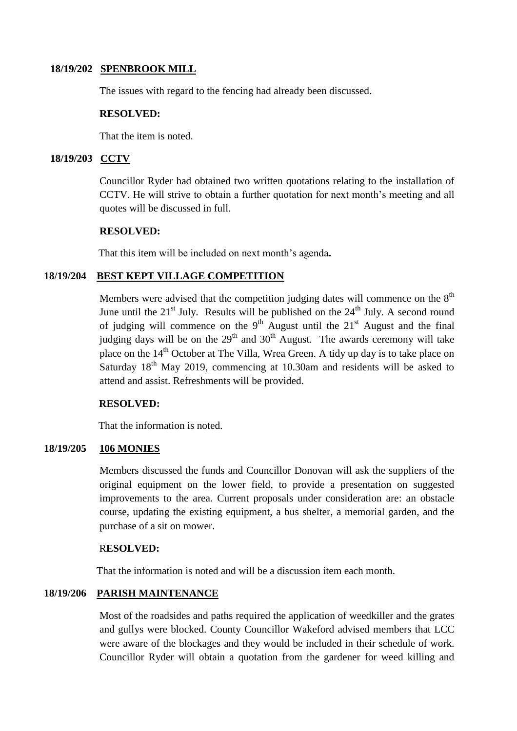# **18/19/202 SPENBROOK MILL**

The issues with regard to the fencing had already been discussed.

#### **RESOLVED:**

That the item is noted.

#### **18/19/203 CCTV**

Councillor Ryder had obtained two written quotations relating to the installation of CCTV. He will strive to obtain a further quotation for next month's meeting and all quotes will be discussed in full.

#### **RESOLVED:**

That this item will be included on next month's agenda**.**

#### **18/19/204 BEST KEPT VILLAGE COMPETITION**

Members were advised that the competition judging dates will commence on the  $8<sup>th</sup>$ June until the  $21<sup>st</sup>$  July. Results will be published on the  $24<sup>th</sup>$  July. A second round of judging will commence on the  $9<sup>th</sup>$  August until the  $21<sup>st</sup>$  August and the final judging days will be on the  $29<sup>th</sup>$  and  $30<sup>th</sup>$  August. The awards ceremony will take place on the 14<sup>th</sup> October at The Villa, Wrea Green. A tidy up day is to take place on Saturday  $18<sup>th</sup>$  May 2019, commencing at 10.30am and residents will be asked to attend and assist. Refreshments will be provided.

# **RESOLVED:**

That the information is noted.

# **18/19/205 106 MONIES**

Members discussed the funds and Councillor Donovan will ask the suppliers of the original equipment on the lower field, to provide a presentation on suggested improvements to the area. Current proposals under consideration are: an obstacle course, updating the existing equipment, a bus shelter, a memorial garden, and the purchase of a sit on mower.

#### R**ESOLVED:**

That the information is noted and will be a discussion item each month.

# **18/19/206 PARISH MAINTENANCE**

Most of the roadsides and paths required the application of weedkiller and the grates and gullys were blocked. County Councillor Wakeford advised members that LCC were aware of the blockages and they would be included in their schedule of work. Councillor Ryder will obtain a quotation from the gardener for weed killing and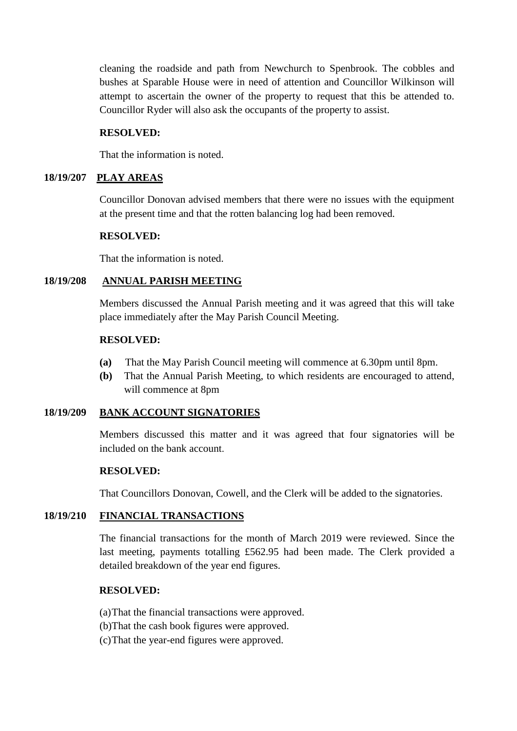cleaning the roadside and path from Newchurch to Spenbrook. The cobbles and bushes at Sparable House were in need of attention and Councillor Wilkinson will attempt to ascertain the owner of the property to request that this be attended to. Councillor Ryder will also ask the occupants of the property to assist.

# **RESOLVED:**

That the information is noted.

# **18/19/207 PLAY AREAS**

Councillor Donovan advised members that there were no issues with the equipment at the present time and that the rotten balancing log had been removed.

# **RESOLVED:**

That the information is noted.

# **18/19/208 ANNUAL PARISH MEETING**

Members discussed the Annual Parish meeting and it was agreed that this will take place immediately after the May Parish Council Meeting.

# **RESOLVED:**

- **(a)** That the May Parish Council meeting will commence at 6.30pm until 8pm.
- **(b)** That the Annual Parish Meeting, to which residents are encouraged to attend, will commence at 8pm

# **18/19/209 BANK ACCOUNT SIGNATORIES**

Members discussed this matter and it was agreed that four signatories will be included on the bank account.

# **RESOLVED:**

That Councillors Donovan, Cowell, and the Clerk will be added to the signatories.

# **18/19/210 FINANCIAL TRANSACTIONS**

 The financial transactions for the month of March 2019 were reviewed. Since the last meeting, payments totalling £562.95 had been made. The Clerk provided a detailed breakdown of the year end figures.

# **RESOLVED:**

(a)That the financial transactions were approved.

- (b)That the cash book figures were approved.
- (c)That the year-end figures were approved.